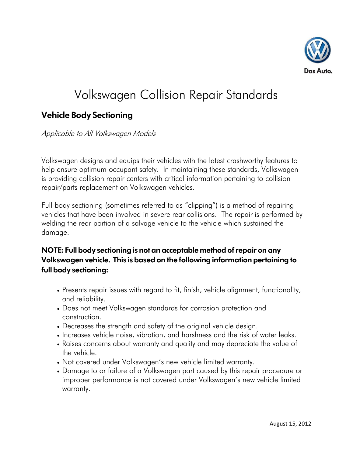

## Volkswagen Collision Repair Standards

## **Vehicle Body Sectioning**

Applicable to All Volkswagen Models

Volkswagen designs and equips their vehicles with the latest crashworthy features to help ensure optimum occupant safety. In maintaining these standards, Volkswagen is providing collision repair centers with critical information pertaining to collision repair/parts replacement on Volkswagen vehicles.

Full body sectioning (sometimes referred to as "clipping") is a method of repairing vehicles that have been involved in severe rear collisions. The repair is performed by welding the rear portion of a salvage vehicle to the vehicle which sustained the damage.

## **NOTE: Full body sectioning is not an acceptable method of repair on any Volkswagen vehicle. This is based on the following information pertaining to full body sectioning:**

- Presents repair issues with regard to fit, finish, vehicle alignment, functionality, and reliability.
- Does not meet Volkswagen standards for corrosion protection and construction.
- Decreases the strength and safety of the original vehicle design.
- Increases vehicle noise, vibration, and harshness and the risk of water leaks.
- Raises concerns about warranty and quality and may depreciate the value of the vehicle.
- Not covered under Volkswagen's new vehicle limited warranty.
- Damage to or failure of a Volkswagen part caused by this repair procedure or improper performance is not covered under Volkswagen's new vehicle limited warranty.